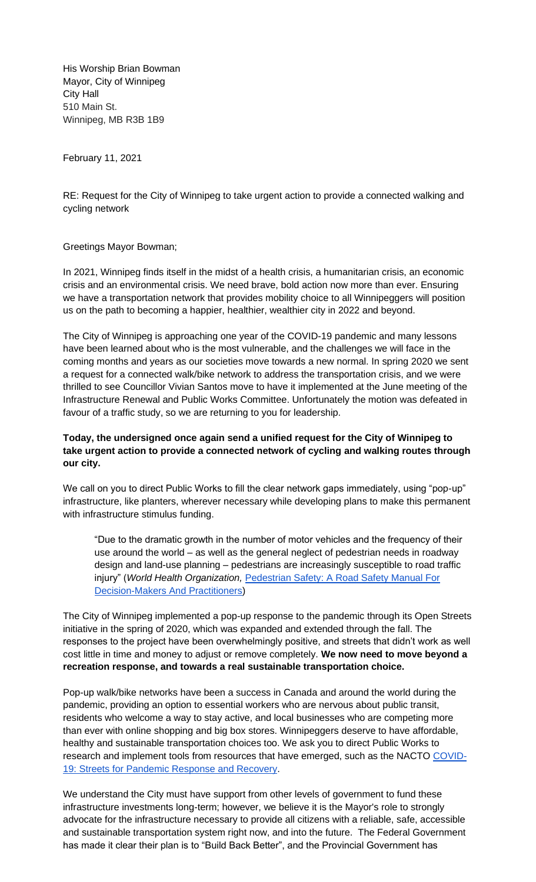His Worship Brian Bowman Mayor, City of Winnipeg City Hall 510 Main St. Winnipeg, MB R3B 1B9

February 11, 2021

RE: Request for the City of Winnipeg to take urgent action to provide a connected walking and cycling network

Greetings Mayor Bowman;

In 2021, Winnipeg finds itself in the midst of a health crisis, a humanitarian crisis, an economic crisis and an environmental crisis. We need brave, bold action now more than ever. Ensuring we have a transportation network that provides mobility choice to all Winnipeggers will position us on the path to becoming a happier, healthier, wealthier city in 2022 and beyond.

The City of Winnipeg is approaching one year of the COVID-19 pandemic and many lessons have been learned about who is the most vulnerable, and the challenges we will face in the coming months and years as our societies move towards a new normal. In spring 2020 we sent a request for a connected walk/bike network to address the transportation crisis, and we were thrilled to see Councillor Vivian Santos move to have it implemented at the June meeting of the Infrastructure Renewal and Public Works Committee. Unfortunately the motion was defeated in favour of a traffic study, so we are returning to you for leadership.

## **Today, the undersigned once again send a unified request for the City of Winnipeg to take urgent action to provide a connected network of cycling and walking routes through our city.**

We call on you to direct Public Works to fill the clear network gaps immediately, using "pop-up" infrastructure, like planters, wherever necessary while developing plans to make this permanent with infrastructure stimulus funding.

"Due to the dramatic growth in the number of motor vehicles and the frequency of their use around the world – as well as the general neglect of pedestrian needs in roadway design and land-use planning – pedestrians are increasingly susceptible to road traffic injury" (*World Health Organization,* [Pedestrian Safety: A Road Safety Manual For](https://www.who.int/iris/bitstream/10665/79753/1/9789241505352_eng.pdf?ua=1)  [Decision-Makers And Practitioners\)](https://www.who.int/iris/bitstream/10665/79753/1/9789241505352_eng.pdf?ua=1)

The City of Winnipeg implemented a pop-up response to the pandemic through its Open Streets initiative in the spring of 2020, which was expanded and extended through the fall. The responses to the project have been overwhelmingly positive, and streets that didn't work as well cost little in time and money to adjust or remove completely. **We now need to move beyond a recreation response, and towards a real sustainable transportation choice.** 

Pop-up walk/bike networks have been a success in Canada and around the world during the pandemic, providing an option to essential workers who are nervous about public transit, residents who welcome a way to stay active, and local businesses who are competing more than ever with online shopping and big box stores. Winnipeggers deserve to have affordable, healthy and sustainable transportation choices too. We ask you to direct Public Works to research and implement tools from resources that have emerged, such as the NACTO [COVID-](https://nacto.org/program/covid19/)[19: Streets for Pandemic Response and Recovery.](https://nacto.org/program/covid19/)

We understand the City must have support from other levels of government to fund these infrastructure investments long-term; however, we believe it is the Mayor's role to strongly advocate for the infrastructure necessary to provide all citizens with a reliable, safe, accessible and sustainable transportation system right now, and into the future. The Federal Government has made it clear their plan is to "Build Back Better", and the Provincial Government has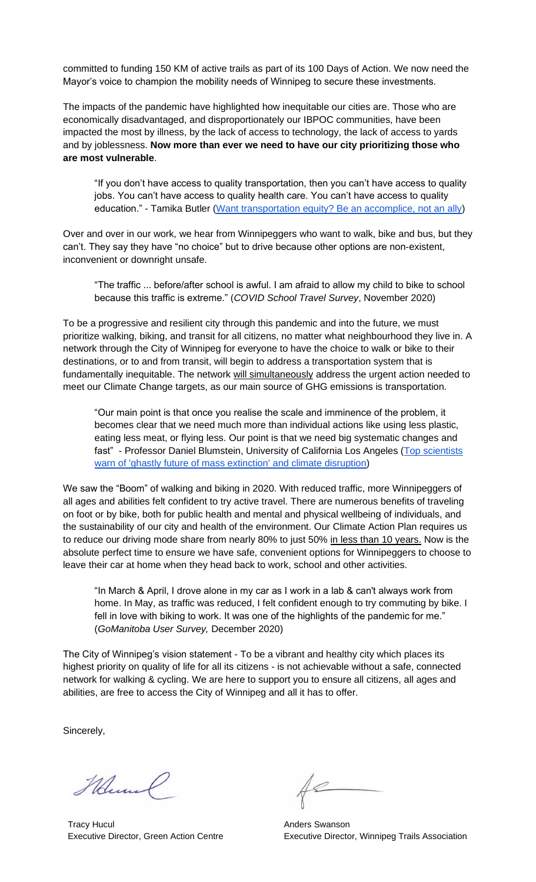committed to funding 150 KM of active trails as part of its 100 Days of Action. We now need the Mayor's voice to champion the mobility needs of Winnipeg to secure these investments.

The impacts of the pandemic have highlighted how inequitable our cities are. Those who are economically disadvantaged, and disproportionately our IBPOC communities, have been impacted the most by illness, by the lack of access to technology, the lack of access to yards and by joblessness. **Now more than ever we need to have our city prioritizing those who are most vulnerable**.

"If you don't have access to quality transportation, then you can't have access to quality jobs. You can't have access to quality health care. You can't have access to quality education." - Tamika Butler [\(Want transportation equity? Be an accomplice, not an ally\)](https://kinder.rice.edu/urbanedge/2020/12/03/transportation-equity-be-accomplice-not-ally-transit-racial-inequalities)

Over and over in our work, we hear from Winnipeggers who want to walk, bike and bus, but they can't. They say they have "no choice" but to drive because other options are non-existent, inconvenient or downright unsafe.

"The traffic ... before/after school is awful. I am afraid to allow my child to bike to school because this traffic is extreme." (*COVID School Travel Survey*, November 2020)

To be a progressive and resilient city through this pandemic and into the future, we must prioritize walking, biking, and transit for all citizens, no matter what neighbourhood they live in. A network through the City of Winnipeg for everyone to have the choice to walk or bike to their destinations, or to and from transit, will begin to address a transportation system that is fundamentally inequitable. The network will simultaneously address the urgent action needed to meet our Climate Change targets, as our main source of GHG emissions is transportation.

"Our main point is that once you realise the scale and imminence of the problem, it becomes clear that we need much more than individual actions like using less plastic, eating less meat, or flying less. Our point is that we need big systematic changes and fast" - Professor Daniel Blumstein, University of California Los Angeles (Top scientists [warn of 'ghastly future of mass extinction' and climate disruption\)](https://www.theguardian.com/environment/2021/jan/13/top-scientists-warn-of-ghastly-future-of-mass-extinction-and-climate-disruption-aoe)

We saw the "Boom" of walking and biking in 2020. With reduced traffic, more Winnipeggers of all ages and abilities felt confident to try active travel. There are numerous benefits of traveling on foot or by bike, both for public health and mental and physical wellbeing of individuals, and the sustainability of our city and health of the environment. Our Climate Action Plan requires us to reduce our driving mode share from nearly 80% to just 50% in less than 10 years. Now is the absolute perfect time to ensure we have safe, convenient options for Winnipeggers to choose to leave their car at home when they head back to work, school and other activities.

"In March & April, I drove alone in my car as I work in a lab & can't always work from home. In May, as traffic was reduced, I felt confident enough to try commuting by bike. I fell in love with biking to work. It was one of the highlights of the pandemic for me." (*GoManitoba User Survey,* December 2020)

The City of Winnipeg's vision statement - To be a vibrant and healthy city which places its highest priority on quality of life for all its citizens - is not achievable without a safe, connected network for walking & cycling. We are here to support you to ensure all citizens, all ages and abilities, are free to access the City of Winnipeg and all it has to offer.

Sincerely,

Mund

Tracy Hucul Executive Director, Green Action Centre

Anders Swanson Executive Director, Winnipeg Trails Association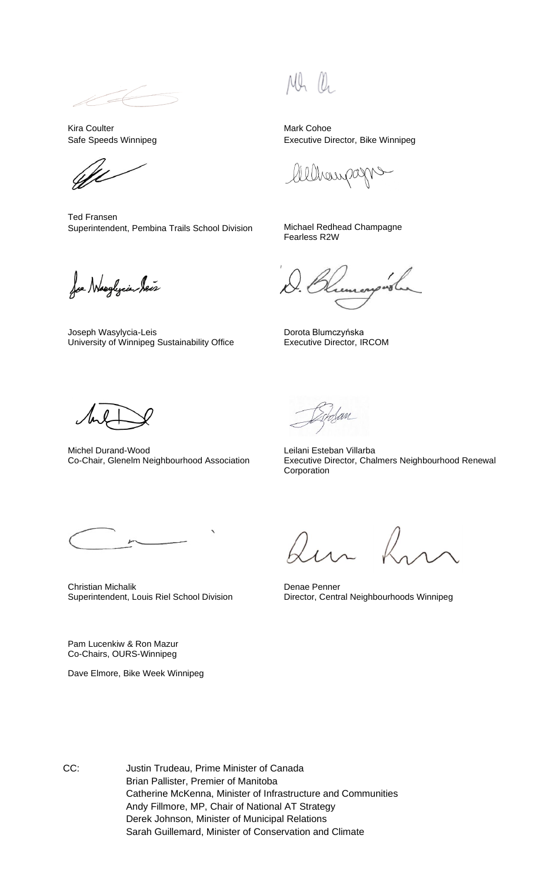Kira Coulter Safe Speeds Winnipeg

Ted Fransen Superintendent, Pembina Trails School Division Michael Redhead Champagne

Joe Neeghjeie Seis

Joseph Wasylycia-Leis University of Winnipeg Sustainability Office

 $(1)$ 

Mark Cohoe Executive Director, Bike Winnipeg

hampa

Fearless R2W

Dorota Blumczyńska Executive Director, IRCOM

Michel Durand-Wood Co-Chair, Glenelm Neighbourhood Association

lan

Leilani Esteban Villarba Executive Director, Chalmers Neighbourhood Renewal Corporation

Christian Michalik Superintendent, Louis Riel School Division

Pam Lucenkiw & Ron Mazur Co-Chairs, OURS-Winnipeg

Dave Elmore, Bike Week Winnipeg

Denae Penner Director, Central Neighbourhoods Winnipeg

CC: Justin Trudeau, Prime Minister of Canada Brian Pallister, Premier of Manitoba Catherine McKenna, Minister of Infrastructure and Communities Andy Fillmore, MP, Chair of National AT Strategy Derek Johnson, Minister of Municipal Relations Sarah Guillemard, Minister of Conservation and Climate